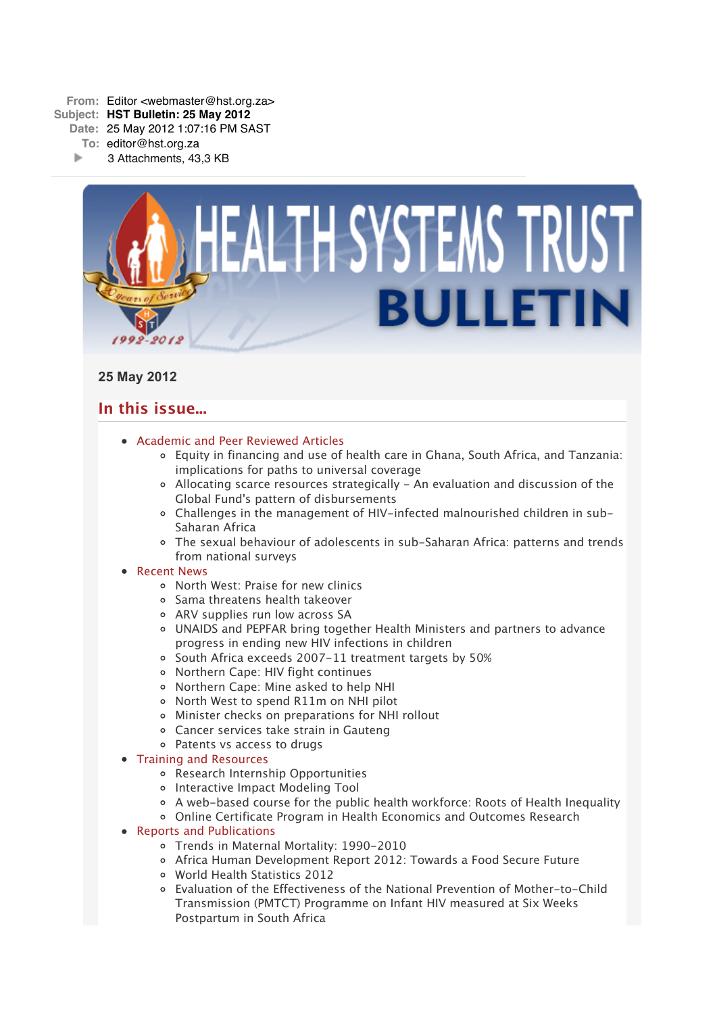

# **25 May 2012**

# **In this issue...**

- [Academic and Peer Reviewed Articles](x-msg://73/#Academic)
	- [Equity in financing and use of health care in Ghana, South Africa, and Tanzania:](x-msg://73/#A_1) implications for paths to universal coverage
	- [Allocating scarce resources strategically An evaluation and discussion of the](x-msg://73/#A_2) Global Fund's pattern of disbursements
	- [Challenges in the management of HIV-infected malnourished children in sub-](x-msg://73/#A_3)Saharan Africa
	- [The sexual behaviour of adolescents in sub-Saharan Africa: patterns and trends](x-msg://73/#A_4) from national surveys

## • [Recent News](x-msg://73/#recent)

- [North West: Praise for new clinics](x-msg://73/#N_1)
- [Sama threatens health takeover](x-msg://73/#N_2)
- ARV supplies run low across SA
- [UNAIDS and PEPFAR bring together Health Ministers and partners to advance](x-msg://73/#N_5) progress in ending new HIV infections in children
- [South Africa exceeds 2007-11 treatment targets by 50%](x-msg://73/#N_6)
- [Northern Cape: HIV fight continues](x-msg://73/#N_7)
- [Northern Cape: Mine asked to help NHI](x-msg://73/#N_9)
- [North West to spend R11m on NHI pilot](x-msg://73/#N_8)
- [Minister checks on preparations for NHI rollout](x-msg://73/#N_10)
- [Cancer services take strain in Gauteng](x-msg://73/#N_11)
- [Patents vs access to drugs](x-msg://73/#N_12)
- [Training and Resources](x-msg://73/#train)
	- [Research Internship Opportunities](x-msg://73/#T_1)
	- o [Interactive Impact Modeling Tool](x-msg://73/#T_2)
	- [A web-based course for the public health workforce: Roots of Health Inequality](x-msg://73/#T_3)
	- [Online Certificate Program in Health Economics and Outcomes Research](x-msg://73/#T_4)

## • [Reports and Publications](x-msg://73/#publications)

- Trends in Maternal Mortality: 1990-2010
- Africa Human Development Report 2012: Towards a Food Secure Future
- World Health Statistics 2012
- Evaluation of the Effectiveness of the National Prevention of Mother-to-Child Transmission (PMTCT) Programme on Infant HIV measured at Six Weeks Postpartum in South Africa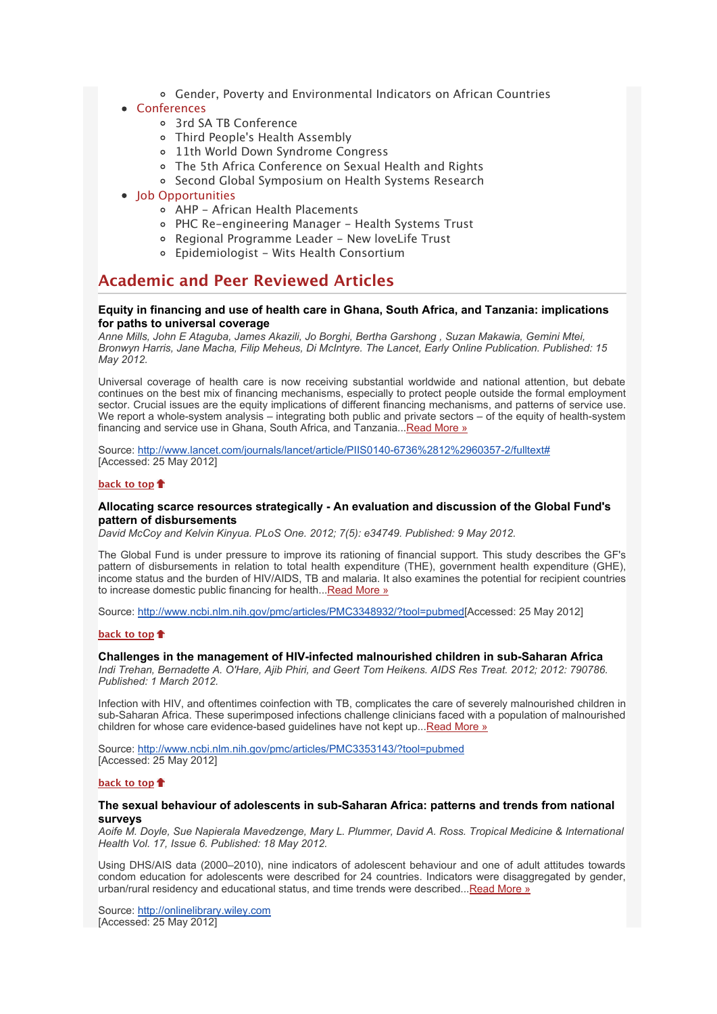Gender, Poverty and Environmental Indicators on African Countries

## [Conferences](x-msg://73/#conferences)

- [3rd SA TB Conference](x-msg://73/#C_1)
- [Third People's Health Assembly](x-msg://73/#C_2)
- [11th World Down Syndrome Congress](x-msg://73/#C_3)
- [The 5th Africa Conference on Sexual Health and Rights](x-msg://73/#C_4)
- o [Second Global Symposium on Health Systems Research](x-msg://73/#C_5)
- [Job Opportunities](x-msg://73/#jobs)
	- [AHP African Health Placements](x-msg://73/#J_0)
	- PHC Re-engineering Manager Health Systems Trust
	- Regional Programme Leader New loveLife Trust
	- [Epidemiologist Wits Health Consortium](x-msg://73/#J_2)

## **Academic and Peer Reviewed Articles**

## **Equity in financing and use of health care in Ghana, South Africa, and Tanzania: implications for paths to universal coverage**

*Anne Mills, John E Ataguba, James Akazili, Jo Borghi, Bertha Garshong , Suzan Makawia, Gemini Mtei, Bronwyn Harris, Jane Macha, Filip Meheus, Di McIntyre. The Lancet, Early Online Publication. Published: 15 May 2012.*

Universal coverage of health care is now receiving substantial worldwide and national attention, but debate continues on the best mix of financing mechanisms, especially to protect people outside the formal employment sector. Crucial issues are the equity implications of different financing mechanisms, and patterns of service use. We report a whole-system analysis – integrating both public and private sectors – of the equity of health-system financing and service use in Ghana, South Africa, and Tanzania..[.Read More »](http://bulletin.hst.org.za//lt.php?id=K09UDlNWVwAASlBVAEUHClxV)

Source: [http://www.lancet.com/journals/lancet/article/PIIS0140-6736%2812%2960357-2/fulltext#](http://bulletin.hst.org.za//lt.php?id=K09UDlNWVwAASlBVAEUHClxV) [Accessed: 25 May 2012]

## **[back to top](x-msg://73/#top)**

## **Allocating scarce resources strategically - An evaluation and discussion of the Global Fund's pattern of disbursements**

*David McCoy and Kelvin Kinyua. PLoS One. 2012; 7(5): e34749. Published: 9 May 2012.*

The Global Fund is under pressure to improve its rationing of financial support. This study describes the GF's pattern of disbursements in relation to total health expenditure (THE), government health expenditure (GHE), income status and the burden of HIV/AIDS, TB and malaria. It also examines the potential for recipient countries to increase domestic public financing for health... Read More »

Source: [http://www.ncbi.nlm.nih.gov/pmc/articles/PMC3348932/?tool=pubmed\[](http://bulletin.hst.org.za//lt.php?id=K09UDlNWVwAPSlBVAEUHClxV)Accessed: 25 May 2012]

#### **[back to top](x-msg://73/#top)**

## **Challenges in the management of HIV-infected malnourished children in sub-Saharan Africa**

*Indi Trehan, Bernadette A. O'Hare, Ajib Phiri, and Geert Tom Heikens. AIDS Res Treat. 2012; 2012: 790786. Published: 1 March 2012.*

Infection with HIV, and oftentimes coinfection with TB, complicates the care of severely malnourished children in sub-Saharan Africa. These superimposed infections challenge clinicians faced with a population of malnourished children for whose care evidence-based guidelines have not kept up..[.Read More »](http://bulletin.hst.org.za//lt.php?id=K09UDlNWVwAOSlBVAEUHClxV)

Source: [http://www.ncbi.nlm.nih.gov/pmc/articles/PMC3353143/?tool=pubmed](http://bulletin.hst.org.za//lt.php?id=K09UDlNWVwAOSlBVAEUHClxV) [Accessed: 25 May 2012]

#### **[back to top](x-msg://73/#top)**

### **The sexual behaviour of adolescents in sub-Saharan Africa: patterns and trends from national surveys**

*Aoife M. Doyle, Sue Napierala Mavedzenge, Mary L. Plummer, David A. Ross. Tropical Medicine & International Health Vol. 17, Issue 6. Published: 18 May 2012.*

Using DHS/AIS data (2000–2010), nine indicators of adolescent behaviour and one of adult attitudes towards condom education for adolescents were described for 24 countries. Indicators were disaggregated by gender, urban/rural residency and educational status, and time trends were described...[Read More »](http://bulletin.hst.org.za//lt.php?id=K09UDlNWVwEHSlBVAEUHClxV)

Source: [http://onlinelibrary.wiley.com](http://bulletin.hst.org.za//lt.php?id=K09UDlNWVwEHSlBVAEUHClxV) [Accessed: 25 May 2012]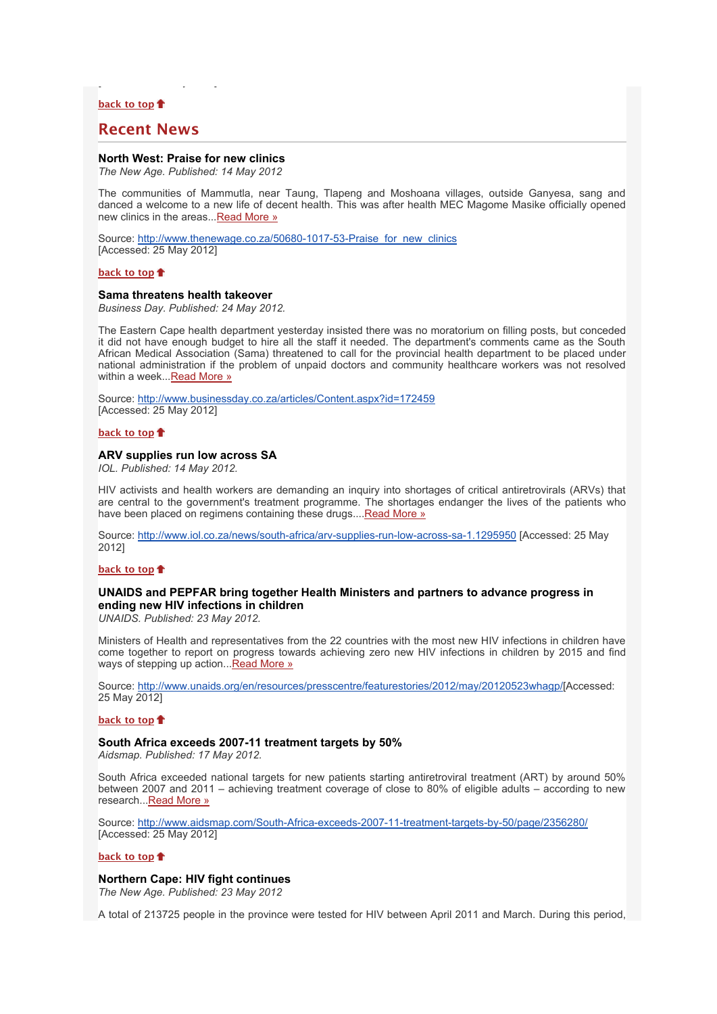## **[back to top](x-msg://73/#top)**

## **Recent News**

[Accessed: 25 May 2012]

## **North West: Praise for new clinics**

*The New Age. Published: 14 May 2012*

The communities of Mammutla, near Taung, Tlapeng and Moshoana villages, outside Ganyesa, sang and danced a welcome to a new life of decent health. This was after health MEC Magome Masike officially opened new clinics in the areas..[.Read More »](http://bulletin.hst.org.za//lt.php?id=K09UDlNWVwEGSlBVAEUHClxV)

Source: [http://www.thenewage.co.za/50680-1017-53-Praise\\_for\\_new\\_clinics](http://bulletin.hst.org.za//lt.php?id=K09UDlNWVwEFSlBVAEUHClxV) [Accessed: 25 May 2012]

### **[back to top](x-msg://73/#top)**

### **Sama threatens health takeover**

*Business Day. Published: 24 May 2012.*

The Eastern Cape health department yesterday insisted there was no moratorium on filling posts, but conceded it did not have enough budget to hire all the staff it needed. The department's comments came as the South African Medical Association (Sama) threatened to call for the provincial health department to be placed under national administration if the problem of unpaid doctors and community healthcare workers was not resolved within a week...[Read More »](http://bulletin.hst.org.za//lt.php?id=K09UDlNWVwEESlBVAEUHClxV)

Source: [http://www.businessday.co.za/articles/Content.aspx?id=172459](http://bulletin.hst.org.za//lt.php?id=K09UDlNWVwEDSlBVAEUHClxV) [Accessed: 25 May 2012]

#### **[back to top](x-msg://73/#top)**

### **ARV supplies run low across SA**

*IOL. Published: 14 May 2012.*

HIV activists and health workers are demanding an inquiry into shortages of critical antiretrovirals (ARVs) that are central to the government's treatment programme. The shortages endanger the lives of the patients who have been placed on regimens containing these drugs...[.Read More »](http://bulletin.hst.org.za//lt.php?id=K09UDlNWVwECSlBVAEUHClxV)

Source: [http://www.iol.co.za/news/south-africa/arv-supplies-run-low-across-sa-1.1295950](http://bulletin.hst.org.za//lt.php?id=K09UDlNWVwEBSlBVAEUHClxV) [Accessed: 25 May 2012]

#### **[back to top](x-msg://73/#top)**

## **UNAIDS and PEPFAR bring together Health Ministers and partners to advance progress in ending new HIV infections in children**

*UNAIDS. Published: 23 May 2012.*

Ministers of Health and representatives from the 22 countries with the most new HIV infections in children have come together to report on progress towards achieving zero new HIV infections in children by 2015 and find ways of stepping up action..[.Read More »](http://bulletin.hst.org.za//lt.php?id=K09UDlNWVwEASlBVAEUHClxV)

Source: [http://www.unaids.org/en/resources/presscentre/featurestories/2012/may/20120523whagp/\[](http://bulletin.hst.org.za//lt.php?id=K09UDlNWVwEPSlBVAEUHClxV)Accessed: 25 May 2012]

### **[back to top](x-msg://73/#top)**

### **South Africa exceeds 2007-11 treatment targets by 50%**

*Aidsmap. Published: 17 May 2012.*

South Africa exceeded national targets for new patients starting antiretroviral treatment (ART) by around 50% between 2007 and 2011 – achieving treatment coverage of close to 80% of eligible adults – according to new research..[.Read More »](http://bulletin.hst.org.za//lt.php?id=K09UDlNWVwEOSlBVAEUHClxV)

Source: [http://www.aidsmap.com/South-Africa-exceeds-2007-11-treatment-targets-by-50/page/2356280/](http://bulletin.hst.org.za//lt.php?id=K09UDlNWVw4HSlBVAEUHClxV) [Accessed: 25 May 2012]

#### **[back to top](x-msg://73/#top)**

## **Northern Cape: HIV fight continues**

*The New Age. Published: 23 May 2012*

A total of 213725 people in the province were tested for HIV between April 2011 and March. During this period,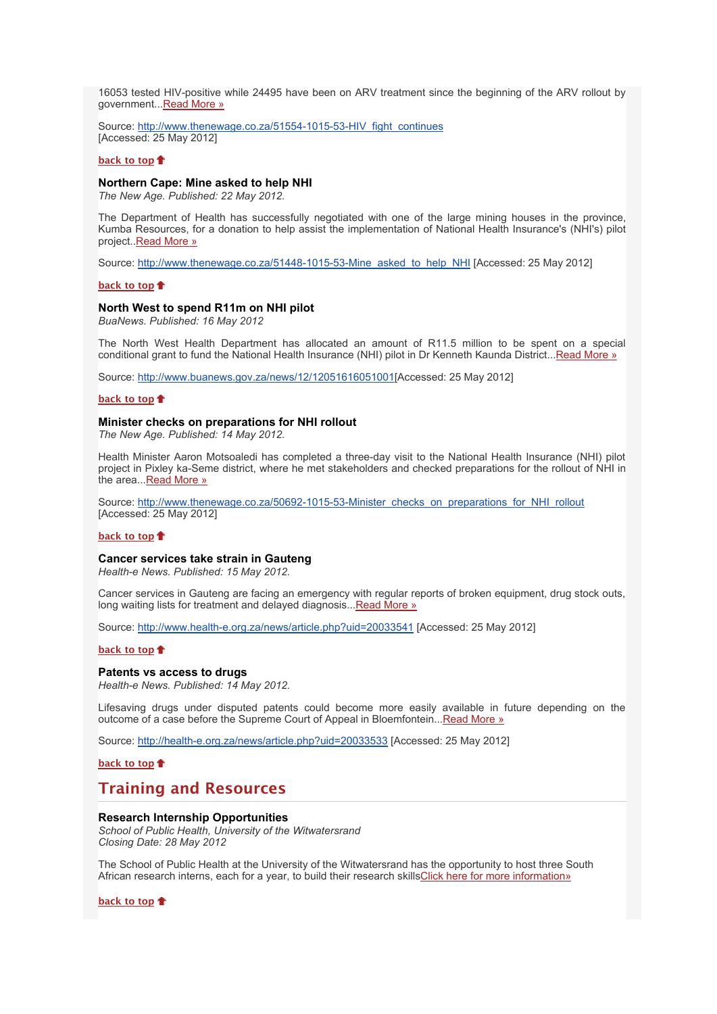16053 tested HIV-positive while 24495 have been on ARV treatment since the beginning of the ARV rollout by government..[.Read More »](http://bulletin.hst.org.za//lt.php?id=K09UDlNWVw4GSlBVAEUHClxV)

Source: [http://www.thenewage.co.za/51554-1015-53-HIV\\_fight\\_continues](http://bulletin.hst.org.za//lt.php?id=K09UDlNWVw4FSlBVAEUHClxV) [Accessed: 25 May 2012]

### **[back to top](x-msg://73/#top)**

### **Northern Cape: Mine asked to help NHI**

*The New Age. Published: 22 May 2012.*

The Department of Health has successfully negotiated with one of the large mining houses in the province, Kumba Resources, for a donation to help assist the implementation of National Health Insurance's (NHI's) pilot project..[Read More »](http://bulletin.hst.org.za//lt.php?id=K09UDlNWVw4ESlBVAEUHClxV)

Source: [http://www.thenewage.co.za/51448-1015-53-Mine\\_asked\\_to\\_help\\_NHI](http://bulletin.hst.org.za//lt.php?id=K09UDlNWVw4DSlBVAEUHClxV) [Accessed: 25 May 2012]

### **[back to top](x-msg://73/#top)**

## **North West to spend R11m on NHI pilot**

*BuaNews. Published: 16 May 2012*

The North West Health Department has allocated an amount of R11.5 million to be spent on a special conditional grant to fund the National Health Insurance (NHI) pilot in Dr Kenneth Kaunda District...[Read More »](http://bulletin.hst.org.za//lt.php?id=K09UDlNWVw4CSlBVAEUHClxV)

Source: [http://www.buanews.gov.za/news/12/12051616051001\[](http://bulletin.hst.org.za//lt.php?id=K09UDlNWVw4BSlBVAEUHClxV)Accessed: 25 May 2012]

### **[back to top](x-msg://73/#top)**

## **Minister checks on preparations for NHI rollout**

*The New Age. Published: 14 May 2012.*

Health Minister Aaron Motsoaledi has completed a three-day visit to the National Health Insurance (NHI) pilot project in Pixley ka-Seme district, where he met stakeholders and checked preparations for the rollout of NHI in the area..[.Read More »](http://bulletin.hst.org.za//lt.php?id=K09UDlNWVw4ASlBVAEUHClxV)

Source: http://www.thenewage.co.za/50692-1015-53-Minister checks\_on\_preparations\_for\_NHI\_rollout [Accessed: 25 May 2012]

#### **[back to top](x-msg://73/#top)**

### **Cancer services take strain in Gauteng**

*Health-e News. Published: 15 May 2012.*

Cancer services in Gauteng are facing an emergency with regular reports of broken equipment, drug stock outs, long waiting lists for treatment and delayed diagnosis..[.Read More »](http://bulletin.hst.org.za//lt.php?id=K09UDlNWVw4OSlBVAEUHClxV)

Source: [http://www.health-e.org.za/news/article.php?uid=20033541](http://bulletin.hst.org.za//lt.php?id=K09UDlNWVw8HSlBVAEUHClxV) [Accessed: 25 May 2012]

### **[back to top](x-msg://73/#top)**

### **Patents vs access to drugs**

*Health-e News. Published: 14 May 2012.*

Lifesaving drugs under disputed patents could become more easily available in future depending on the outcome of a case before the Supreme Court of Appeal in Bloemfontein..[.Read More »](http://bulletin.hst.org.za//lt.php?id=K09UDlNWVw8GSlBVAEUHClxV)

Source: [http://health-e.org.za/news/article.php?uid=20033533](http://bulletin.hst.org.za//lt.php?id=K09UDlNWVw8FSlBVAEUHClxV) [Accessed: 25 May 2012]

**[back to top](x-msg://73/#top)**

## **Training and Resources**

### **Research Internship Opportunities**

*School of Public Health, University of the Witwatersrand Closing Date: 28 May 2012*

The School of Public Health at the University of the Witwatersrand has the opportunity to host three South African research interns, each for a year, to build their research skill[sClick here for more information»](http://bulletin.hst.org.za//lt.php?id=K09UDlNWVw8ESlBVAEUHClxV)

**[back to top](x-msg://73/#top)**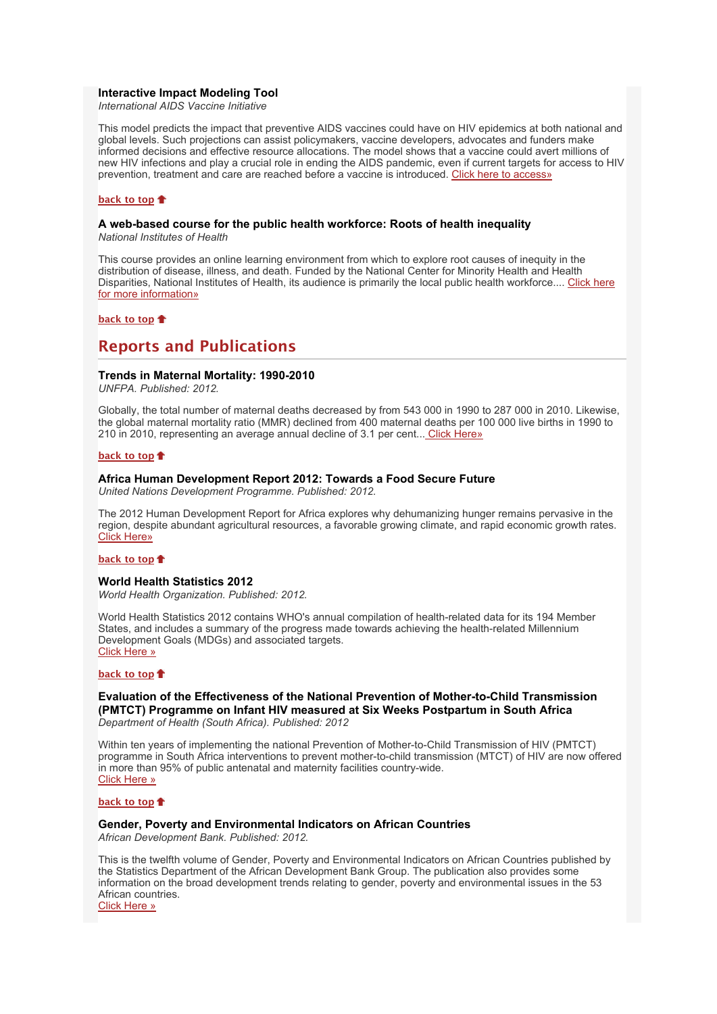### **Interactive Impact Modeling Tool**

*International AIDS Vaccine Initiative*

This model predicts the impact that preventive AIDS vaccines could have on HIV epidemics at both national and global levels. Such projections can assist policymakers, vaccine developers, advocates and funders make informed decisions and effective resource allocations. The model shows that a vaccine could avert millions of new HIV infections and play a crucial role in ending the AIDS pandemic, even if current targets for access to HIV prevention, treatment and care are reached before a vaccine is introduced. [Click here to access»](http://bulletin.hst.org.za//lt.php?id=K09UDlNWVw8DSlBVAEUHClxV)

### **[back to top](x-msg://73/#top)**

## **A web-based course for the public health workforce: Roots of health inequality**

*National Institutes of Health*

This course provides an online learning environment from which to explore root causes of inequity in the distribution of disease, illness, and death. Funded by the National Center for Minority Health and Health [Disparities, National Institutes of Health, its audience is primarily the local public health workforce.... Click here](http://bulletin.hst.org.za//lt.php?id=K09UDlNWVw8CSlBVAEUHClxV) for more information»

### **[back to top](x-msg://73/#top)**

## **Reports and Publications**

### **Trends in Maternal Mortality: 1990-2010**

*UNFPA. Published: 2012.*

Globally, the total number of maternal deaths decreased by from 543 000 in 1990 to 287 000 in 2010. Likewise, the global maternal mortality ratio (MMR) declined from 400 maternal deaths per 100 000 live births in 1990 to 210 in 2010, representing an average annual decline of 3.1 per cent... [Click Here»](http://bulletin.hst.org.za//lt.php?id=K09UDlNWVw8BSlBVAEUHClxV)

### **[back to top](x-msg://73/#top)**

### **Africa Human Development Report 2012: Towards a Food Secure Future**

*United Nations Development Programme. Published: 2012.*

The 2012 Human Development Report for Africa explores why dehumanizing hunger remains pervasive in the region, despite abundant agricultural resources, a favorable growing climate, and rapid economic growth rates. [Click Here»](http://bulletin.hst.org.za//lt.php?id=K09UDlNWVw8ASlBVAEUHClxV)

## **[back to top](x-msg://73/#top)**

## **World Health Statistics 2012**

*World Health Organization. Published: 2012.*

World Health Statistics 2012 contains WHO's annual compilation of health-related data for its 194 Member States, and includes a summary of the progress made towards achieving the health-related Millennium Development Goals (MDGs) and associated targets. [Click Here »](http://bulletin.hst.org.za//lt.php?id=K09UDlNWVw8PSlBVAEUHClxV)

### **[back to top](x-msg://73/#top)**

**Evaluation of the Effectiveness of the National Prevention of Mother-to-Child Transmission (PMTCT) Programme on Infant HIV measured at Six Weeks Postpartum in South Africa** *Department of Health (South Africa). Published: 2012*

Within ten years of implementing the national Prevention of Mother-to-Child Transmission of HIV (PMTCT) programme in South Africa interventions to prevent mother-to-child transmission (MTCT) of HIV are now offered in more than 95% of public antenatal and maternity facilities country-wide. [Click Here »](http://bulletin.hst.org.za//lt.php?id=K09UDlNWVw8OSlBVAEUHClxV)

## **[back to top](x-msg://73/#top)**

## **Gender, Poverty and Environmental Indicators on African Countries**

*African Development Bank. Published: 2012.*

This is the twelfth volume of Gender, Poverty and Environmental Indicators on African Countries published by the Statistics Department of the African Development Bank Group. The publication also provides some information on the broad development trends relating to gender, poverty and environmental issues in the 53 African countries. [Click Here »](http://bulletin.hst.org.za//lt.php?id=K09UDlNWVgYHSlBVAEUHClxV)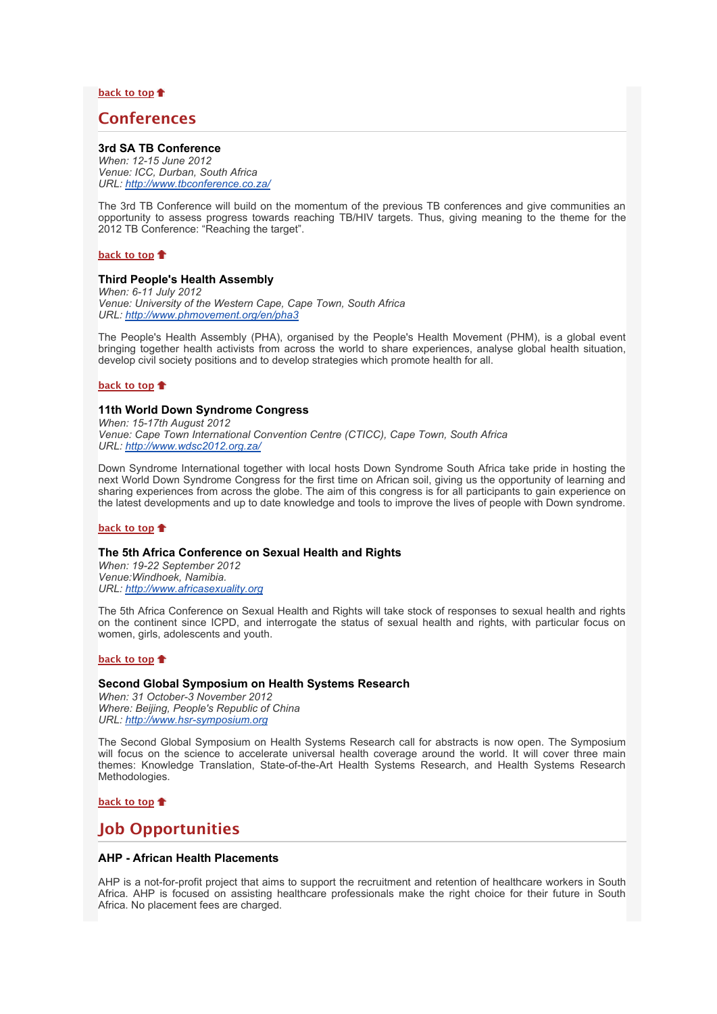**[back to top](x-msg://73/#top)**

## **Conferences**

## **3rd SA TB Conference**

*When: 12-15 June 2012 Venue: ICC, Durban, South Africa URL: [http://www.tbconference.co.za/](http://bulletin.hst.org.za//lt.php?id=K09UDlNWVgYGSlBVAEUHClxV)*

The 3rd TB Conference will build on the momentum of the previous TB conferences and give communities an opportunity to assess progress towards reaching TB/HIV targets. Thus, giving meaning to the theme for the 2012 TB Conference: "Reaching the target".

**[back to top](x-msg://73/#top)**

## **Third People's Health Assembly**

*When: 6-11 July 2012 Venue: University of the Western Cape, Cape Town, South Africa URL: [http://www.phmovement.org/en/pha3](http://bulletin.hst.org.za//lt.php?id=K09UDlNWVgYFSlBVAEUHClxV)*

The People's Health Assembly (PHA), organised by the People's Health Movement (PHM), is a global event bringing together health activists from across the world to share experiences, analyse global health situation, develop civil society positions and to develop strategies which promote health for all.

### **[back to top](x-msg://73/#top)**

### **11th World Down Syndrome Congress**

*When: 15-17th August 2012 Venue: Cape Town International Convention Centre (CTICC), Cape Town, South Africa URL: [http://www.wdsc2012.org.za/](http://bulletin.hst.org.za//lt.php?id=K09UDlNWVgYESlBVAEUHClxV)*

Down Syndrome International together with local hosts Down Syndrome South Africa take pride in hosting the next World Down Syndrome Congress for the first time on African soil, giving us the opportunity of learning and sharing experiences from across the globe. The aim of this congress is for all participants to gain experience on the latest developments and up to date knowledge and tools to improve the lives of people with Down syndrome.

## **[back to top](x-msg://73/#top)**

### **The 5th Africa Conference on Sexual Health and Rights**

*When: 19-22 September 2012 Venue:Windhoek, Namibia. URL: [http://www.africasexuality.org](http://bulletin.hst.org.za//lt.php?id=K09UDlNWVgYDSlBVAEUHClxV)*

The 5th Africa Conference on Sexual Health and Rights will take stock of responses to sexual health and rights on the continent since ICPD, and interrogate the status of sexual health and rights, with particular focus on women, girls, adolescents and youth.

### **[back to top](x-msg://73/#top)**

### **Second Global Symposium on Health Systems Research**

*When: 31 October-3 November 2012 Where: Beijing, People's Republic of China URL: [http://www.hsr-symposium.org](http://bulletin.hst.org.za//lt.php?id=K09UDlNWVgYCSlBVAEUHClxV)*

The Second Global Symposium on Health Systems Research call for abstracts is now open. The Symposium will focus on the science to accelerate universal health coverage around the world. It will cover three main themes: Knowledge Translation, State-of-the-Art Health Systems Research, and Health Systems Research Methodologies.

## **[back to top](x-msg://73/#top)**

## **Job Opportunities**

### **AHP - African Health Placements**

AHP is a not-for-profit project that aims to support the recruitment and retention of healthcare workers in South Africa. AHP is focused on assisting healthcare professionals make the right choice for their future in South Africa. No placement fees are charged.